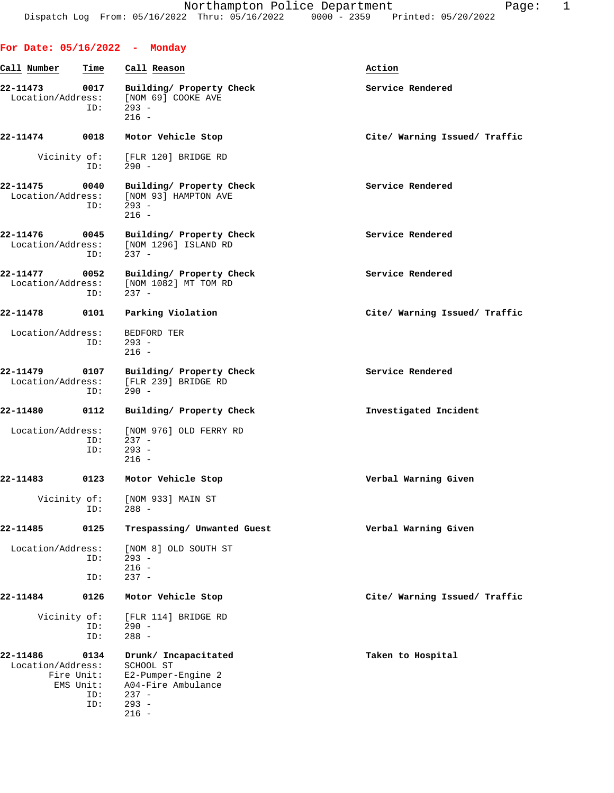|                               |                                               | For Date: 05/16/2022 - Monday                                                                                  |                               |
|-------------------------------|-----------------------------------------------|----------------------------------------------------------------------------------------------------------------|-------------------------------|
| Call Number                   | Time                                          | Call Reason                                                                                                    | Action                        |
| 22-11473<br>Location/Address: | 0017<br>ID:                                   | Building/ Property Check<br>[NOM 69] COOKE AVE<br>$293 -$<br>$216 -$                                           | Service Rendered              |
| 22-11474                      | 0018                                          | Motor Vehicle Stop                                                                                             | Cite/ Warning Issued/ Traffic |
| Vicinity of:                  | ID:                                           | [FLR 120] BRIDGE RD<br>$290 -$                                                                                 |                               |
| 22-11475                      | 0040<br>ID:                                   | Building/ Property Check<br>Location/Address: [NOM 93] HAMPTON AVE<br>$293 -$<br>$216 -$                       | Service Rendered              |
| 22-11476<br>Location/Address: | 0045<br>ID:                                   | Building/ Property Check<br>[NOM 1296] ISLAND RD<br>$237 -$                                                    | Service Rendered              |
| 22-11477                      | 0052<br>ID:                                   | Building/ Property Check<br>Location/Address: [NOM 1082] MT TOM RD<br>$237 -$                                  | Service Rendered              |
| 22-11478                      | 0101                                          | Parking Violation                                                                                              | Cite/ Warning Issued/ Traffic |
| Location/Address:             | ID:                                           | BEDFORD TER<br>$293 -$<br>$216 -$                                                                              |                               |
| 22-11479<br>Location/Address: | ID:                                           | 0107 Building/ Property Check<br>[FLR 239] BRIDGE RD<br>$290 -$                                                | Service Rendered              |
| 22-11480                      | 0112                                          | Building/ Property Check                                                                                       | Investigated Incident         |
| Location/Address:             | ID:<br>ID:                                    | [NOM 976] OLD FERRY RD<br>$237 -$<br>$293 -$<br>$216 -$                                                        |                               |
| 22-11483                      | 0123                                          | Motor Vehicle Stop                                                                                             | Verbal Warning Given          |
| Vicinity of:                  | ID:                                           | [NOM 933] MAIN ST<br>$288 -$                                                                                   |                               |
| 22-11485                      | 0125                                          | Trespassing/ Unwanted Guest                                                                                    | Verbal Warning Given          |
| Location/Address:             | ID:<br>ID:                                    | [NOM 8] OLD SOUTH ST<br>$293 -$<br>$216 -$<br>$237 -$                                                          |                               |
| 22-11484                      | 0126                                          | Motor Vehicle Stop                                                                                             | Cite/ Warning Issued/ Traffic |
| Vicinity of:                  | ID:<br>ID:                                    | [FLR 114] BRIDGE RD<br>$290 -$<br>$288 -$                                                                      |                               |
| 22-11486<br>Location/Address: | 0134<br>Fire Unit:<br>EMS Unit:<br>ID:<br>ID: | Drunk/ Incapacitated<br>SCHOOL ST<br>E2-Pumper-Engine 2<br>A04-Fire Ambulance<br>$237 -$<br>$293 -$<br>$216 -$ | Taken to Hospital             |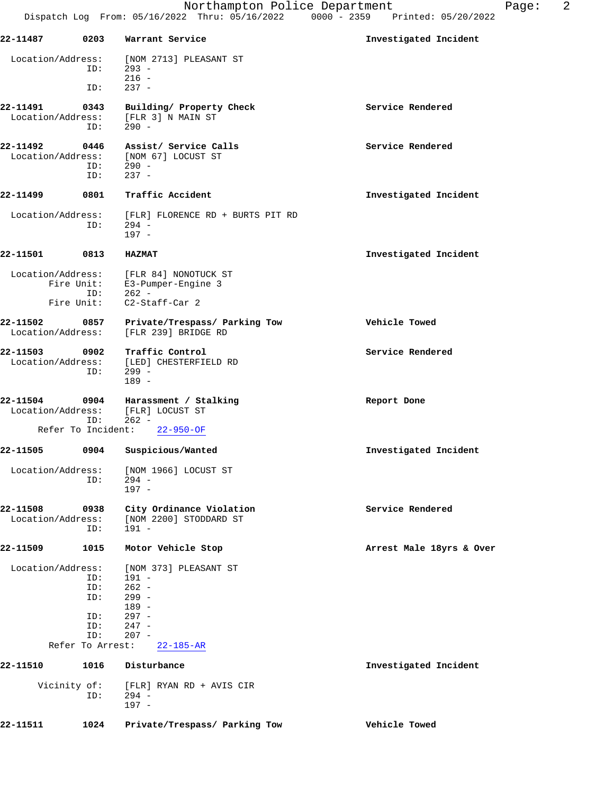| 22-11487                      | 0203                                                       | Warrant Service                                                                                                       | Investigated Incident    |
|-------------------------------|------------------------------------------------------------|-----------------------------------------------------------------------------------------------------------------------|--------------------------|
| Location/Address:             | ID:                                                        | [NOM 2713] PLEASANT ST<br>$293 -$                                                                                     |                          |
|                               | ID:                                                        | $216 -$<br>$237 -$                                                                                                    |                          |
| 22-11491<br>Location/Address: | 0343<br>ID:                                                | Building/ Property Check<br>[FLR 3] N MAIN ST<br>$290 -$                                                              | Service Rendered         |
| 22-11492<br>Location/Address: | 0446<br>ID:                                                | Assist/ Service Calls<br>[NOM 67] LOCUST ST<br>$290 -$                                                                | Service Rendered         |
|                               | ID:                                                        | $237 -$                                                                                                               |                          |
| 22-11499                      | 0801                                                       | Traffic Accident                                                                                                      | Investigated Incident    |
| Location/Address:             | ID:                                                        | [FLR] FLORENCE RD + BURTS PIT RD<br>$294 -$<br>$197 -$                                                                |                          |
| 22-11501                      | 0813                                                       | <b>HAZMAT</b>                                                                                                         | Investigated Incident    |
| Location/Address:             | Fire Unit:<br>ID:                                          | [FLR 84] NONOTUCK ST<br>E3-Pumper-Engine 3<br>262 -                                                                   |                          |
| Fire Unit:                    |                                                            | $C2-Staff-Car 2$                                                                                                      |                          |
| 22-11502<br>Location/Address: | 0857                                                       | Private/Trespass/ Parking Tow<br>[FLR 239] BRIDGE RD                                                                  | Vehicle Towed            |
| 22-11503<br>Location/Address: | 0902<br>ID:                                                | Traffic Control<br>[LED] CHESTERFIELD RD<br>$299 -$<br>$189 -$                                                        | Service Rendered         |
| 22-11504<br>Location/Address: | 0904                                                       | Harassment / Stalking<br>[FLR] LOCUST ST                                                                              | Report Done              |
| Refer To Incident:            | ID:                                                        | $262 -$<br>$22 - 950 - OF$                                                                                            |                          |
| 22-11505                      | 0904                                                       | Suspicious/Wanted                                                                                                     | Investigated Incident    |
| Location/Address:             | ID:                                                        | [NOM 1966] LOCUST ST<br>$294 -$<br>$197 -$                                                                            |                          |
| 22-11508<br>Location/Address: | 0938<br>ID:                                                | City Ordinance Violation<br>[NOM 2200] STODDARD ST<br>$191 -$                                                         | Service Rendered         |
| 22-11509                      | 1015                                                       | Motor Vehicle Stop                                                                                                    | Arrest Male 18yrs & Over |
| Location/Address:             | ID:<br>ID:<br>ID:<br>ID:<br>ID:<br>ID:<br>Refer To Arrest: | [NOM 373] PLEASANT ST<br>$191 -$<br>$262 -$<br>$299 -$<br>$189 -$<br>$297 -$<br>$247 -$<br>$207 -$<br>$22 - 185 - AR$ |                          |
| 22-11510                      | 1016                                                       | Disturbance                                                                                                           | Investigated Incident    |
| Vicinity of:                  | ID:                                                        | [FLR] RYAN RD + AVIS CIR<br>$294 -$<br>$197 -$                                                                        |                          |
| 22-11511                      | 1024                                                       | Private/Trespass/ Parking Tow                                                                                         | Vehicle Towed            |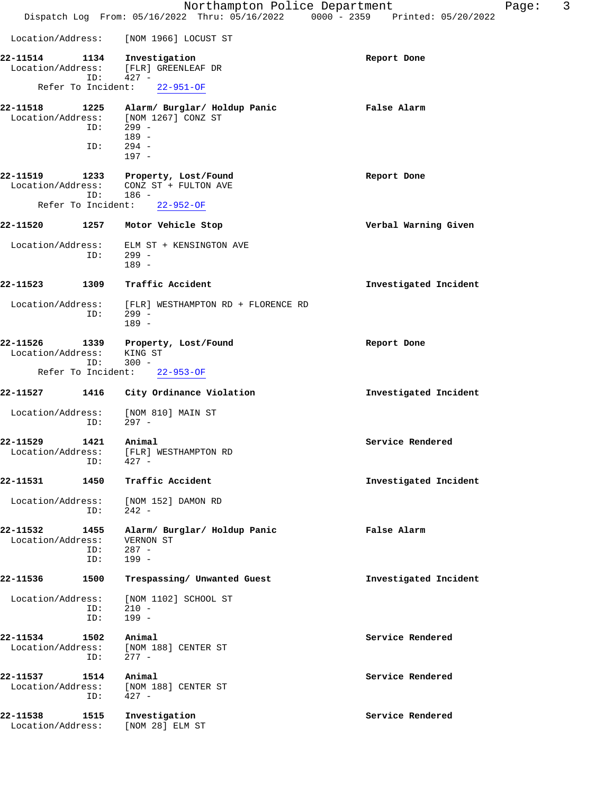|                                                     |                    | Northampton Police Department<br>Dispatch Log From: 05/16/2022 Thru: 05/16/2022 0000 - 2359 Printed: 05/20/2022 | Page:                 | 3 |
|-----------------------------------------------------|--------------------|-----------------------------------------------------------------------------------------------------------------|-----------------------|---|
| Location/Address:                                   |                    | [NOM 1966] LOCUST ST                                                                                            |                       |   |
| 22-11514<br>Location/Address:<br>Refer To Incident: | 1134<br>ID:        | Investigation<br>[FLR] GREENLEAF DR<br>$427 -$<br>$22 - 951 - OF$                                               | Report Done           |   |
| 22-11518<br>Location/Address:                       | 1225<br>ID:<br>ID: | Alarm/ Burglar/ Holdup Panic<br>[NOM 1267] CONZ ST<br>$299 -$<br>$189 -$<br>$294 -$<br>$197 -$                  | False Alarm           |   |
| 22-11519<br>Location/Address:<br>Refer To Incident: | 1233<br>ID:        | Property, Lost/Found<br>CONZ ST + FULTON AVE<br>$186 -$<br>$22 - 952 - OF$                                      | Report Done           |   |
| 22-11520                                            | 1257               | Motor Vehicle Stop                                                                                              | Verbal Warning Given  |   |
| Location/Address:                                   | ID:                | ELM ST + KENSINGTON AVE<br>$299 -$<br>$189 -$                                                                   |                       |   |
| 22-11523                                            | 1309               | Traffic Accident                                                                                                | Investigated Incident |   |
| Location/Address:                                   | ID:                | [FLR] WESTHAMPTON RD + FLORENCE RD<br>$299 -$<br>$189 -$                                                        |                       |   |
| 22-11526<br>Location/Address:<br>Refer To Incident: | 1339<br>ID:        | Property, Lost/Found<br>KING ST<br>$300 -$<br>$22 - 953 - OF$                                                   | Report Done           |   |
| 22-11527                                            | 1416               | City Ordinance Violation                                                                                        | Investigated Incident |   |
| Location/Address:                                   | ID:                | [NOM 810] MAIN ST<br>$297 -$                                                                                    |                       |   |
| 22-11529<br>Location/Address:                       | 1421<br>ID:        | Animal<br>[FLR] WESTHAMPTON RD<br>$427 -$                                                                       | Service Rendered      |   |
| 22-11531                                            | 1450               | Traffic Accident                                                                                                | Investigated Incident |   |
| Location/Address:                                   | ID:                | [NOM 152] DAMON RD<br>$242 -$                                                                                   |                       |   |
| 22-11532<br>Location/Address:                       | 1455<br>ID:<br>ID: | Alarm/ Burglar/ Holdup Panic<br>VERNON ST<br>$287 -$<br>$199 -$                                                 | False Alarm           |   |
| 22-11536                                            | 1500               | Trespassing/ Unwanted Guest                                                                                     | Investigated Incident |   |
| Location/Address:                                   | ID:<br>ID:         | [NOM 1102] SCHOOL ST<br>$210 -$<br>$199 -$                                                                      |                       |   |
| 22-11534<br>Location/Address:                       | 1502<br>ID:        | Animal<br>[NOM 188] CENTER ST<br>$277 -$                                                                        | Service Rendered      |   |
| 22-11537<br>Location/Address:                       | 1514<br>ID:        | Animal<br>[NOM 188] CENTER ST<br>$427 -$                                                                        | Service Rendered      |   |
| 22-11538<br>Location/Address:                       | 1515               | Investigation<br>[NOM 28] ELM ST                                                                                | Service Rendered      |   |
|                                                     |                    |                                                                                                                 |                       |   |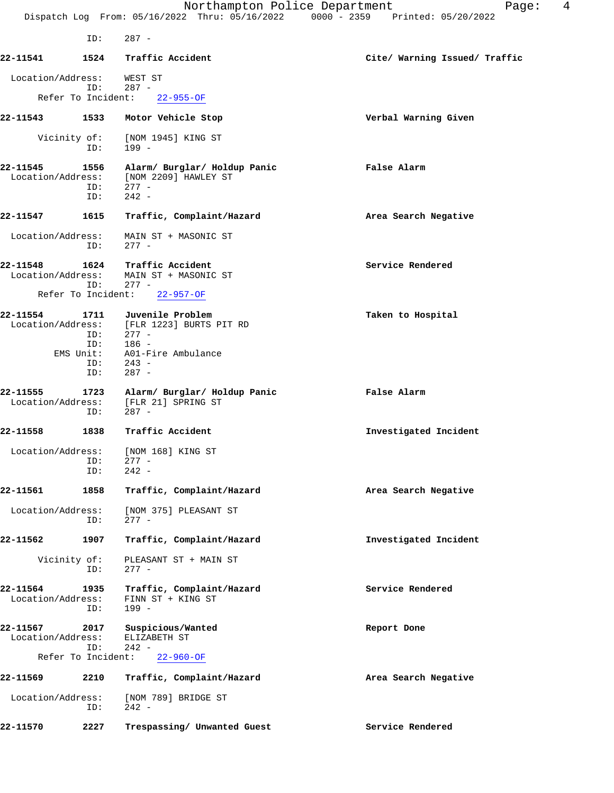|                               |                                       | Northampton Police Department<br>Dispatch Log From: 05/16/2022 Thru: 05/16/2022 0000 - 2359 Printed: 05/20/2022                      | 4<br>Page:                    |
|-------------------------------|---------------------------------------|--------------------------------------------------------------------------------------------------------------------------------------|-------------------------------|
|                               | ID:                                   | $287 -$                                                                                                                              |                               |
| 22-11541                      | 1524                                  | Traffic Accident                                                                                                                     | Cite/ Warning Issued/ Traffic |
| Location/Address:             |                                       | WEST ST                                                                                                                              |                               |
|                               | ID:                                   | $287 -$<br>Refer To Incident: 22-955-OF                                                                                              |                               |
| 22-11543                      |                                       | 1533 Motor Vehicle Stop                                                                                                              | Verbal Warning Given          |
|                               | ID:                                   | Vicinity of: [NOM 1945] KING ST<br>$199 -$                                                                                           |                               |
| 22-11545<br>Location/Address: | 1556<br>ID:<br>ID:                    | Alarm/ Burglar/ Holdup Panic<br>[NOM 2209] HAWLEY ST<br>$277 -$<br>$242 -$                                                           | False Alarm                   |
| 22-11547                      | 1615                                  | Traffic, Complaint/Hazard                                                                                                            | Area Search Negative          |
| Location/Address:             | ID:                                   | MAIN ST + MASONIC ST<br>$277 -$                                                                                                      |                               |
| 22-11548<br>Location/Address: | 1624<br>ID:                           | Traffic Accident<br>MAIN ST + MASONIC ST<br>$277 -$                                                                                  | Service Rendered              |
|                               |                                       | Refer To Incident: 22-957-OF                                                                                                         |                               |
| 22-11554                      | ID:<br>ID:<br>EMS Unit:<br>ID:<br>ID: | 1711 Juvenile Problem<br>Location/Address: [FLR 1223] BURTS PIT RD<br>$277 -$<br>$186 -$<br>A01-Fire Ambulance<br>$243 -$<br>$287 -$ | Taken to Hospital             |
| 22-11555<br>Location/Address: | 1723<br>ID:                           | Alarm/ Burglar/ Holdup Panic<br>[FLR 21] SPRING ST<br>$287 -$                                                                        | False Alarm                   |
| 22-11558                      | 1838                                  | Traffic Accident                                                                                                                     | Investigated Incident         |
|                               | ID:<br>ID:                            | Location/Address: [NOM 168] KING ST<br>$277 -$<br>$242 -$                                                                            |                               |
| 22-11561                      | 1858                                  | Traffic, Complaint/Hazard                                                                                                            | Area Search Negative          |
| Location/Address:             | ID:                                   | [NOM 375] PLEASANT ST<br>$277 -$                                                                                                     |                               |
| 22-11562                      | 1907                                  | Traffic, Complaint/Hazard                                                                                                            | Investigated Incident         |
|                               | Vicinity of:<br>ID:                   | PLEASANT ST + MAIN ST<br>$277 -$                                                                                                     |                               |
| 22-11564<br>Location/Address: | 1935<br>ID:                           | Traffic, Complaint/Hazard<br>FINN ST + KING ST<br>199 -                                                                              | Service Rendered              |
| 22-11567<br>Location/Address: | 2017<br>ID:                           | Suspicious/Wanted<br>ELIZABETH ST<br>$242 -$                                                                                         | Report Done                   |
|                               | Refer To Incident:                    | $22 - 960 - OF$                                                                                                                      |                               |
| 22-11569                      | 2210                                  | Traffic, Complaint/Hazard                                                                                                            | Area Search Negative          |
| Location/Address:             | ID:                                   | [NOM 789] BRIDGE ST<br>$242 -$                                                                                                       |                               |
| 22-11570                      | 2227                                  | Trespassing/ Unwanted Guest                                                                                                          | Service Rendered              |